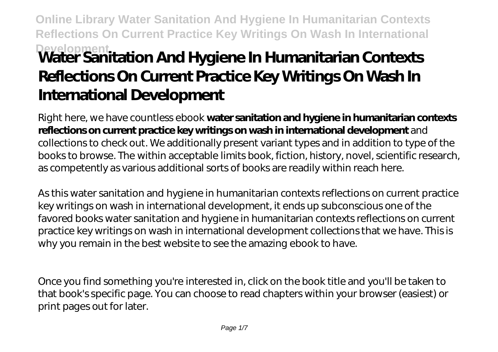# **Online Library Water Sanitation And Hygiene In Humanitarian Contexts Reflections On Current Practice Key Writings On Wash In International Development Water Sanitation And Hygiene In Humanitarian Contexts Reflections On Current Practice Key Writings On Wash In International Development**

Right here, we have countless ebook **water sanitation and hygiene in humanitarian contexts reflections on current practice key writings on wash in international development** and collections to check out. We additionally present variant types and in addition to type of the books to browse. The within acceptable limits book, fiction, history, novel, scientific research, as competently as various additional sorts of books are readily within reach here.

As this water sanitation and hygiene in humanitarian contexts reflections on current practice key writings on wash in international development, it ends up subconscious one of the favored books water sanitation and hygiene in humanitarian contexts reflections on current practice key writings on wash in international development collections that we have. This is why you remain in the best website to see the amazing ebook to have.

Once you find something you're interested in, click on the book title and you'll be taken to that book's specific page. You can choose to read chapters within your browser (easiest) or print pages out for later.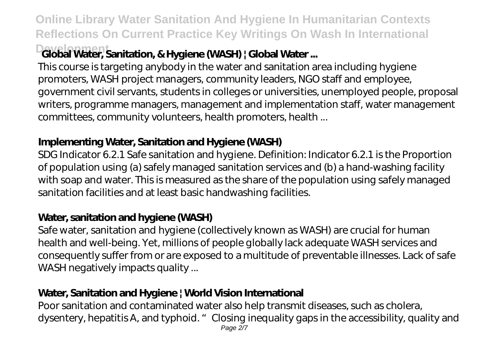**Online Library Water Sanitation And Hygiene In Humanitarian Contexts Reflections On Current Practice Key Writings On Wash In International**

# **Development Global Water, Sanitation, & Hygiene (WASH) | Global Water ...**

This course is targeting anybody in the water and sanitation area including hygiene promoters, WASH project managers, community leaders, NGO staff and employee, government civil servants, students in colleges or universities, unemployed people, proposal writers, programme managers, management and implementation staff, water management committees, community volunteers, health promoters, health ...

# **Implementing Water, Sanitation and Hygiene (WASH)**

SDG Indicator 6.2.1 Safe sanitation and hygiene. Definition: Indicator 6.2.1 is the Proportion of population using (a) safely managed sanitation services and (b) a hand-washing facility with soap and water. This is measured as the share of the population using safely managed sanitation facilities and at least basic handwashing facilities.

## **Water, sanitation and hygiene (WASH)**

Safe water, sanitation and hygiene (collectively known as WASH) are crucial for human health and well-being. Yet, millions of people globally lack adequate WASH services and consequently suffer from or are exposed to a multitude of preventable illnesses. Lack of safe WASH negatively impacts quality ...

# **Water, Sanitation and Hygiene | World Vision International**

Poor sanitation and contaminated water also help transmit diseases, such as cholera, dysentery, hepatitis A, and typhoid. " Closing inequality gaps in the accessibility, quality and Page 2/7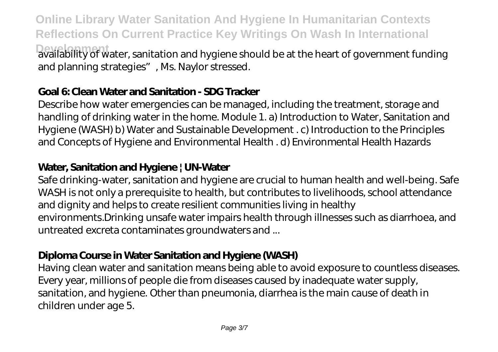**Online Library Water Sanitation And Hygiene In Humanitarian Contexts Reflections On Current Practice Key Writings On Wash In International Dealability of water, sanitation and hygiene should be at the heart of government funding** and planning strategies", Ms. Naylor stressed.

#### **Goal 6: Clean Water and Sanitation - SDG Tracker**

Describe how water emergencies can be managed, including the treatment, storage and handling of drinking water in the home. Module 1. a) Introduction to Water, Sanitation and Hygiene (WASH) b) Water and Sustainable Development . c) Introduction to the Principles and Concepts of Hygiene and Environmental Health . d) Environmental Health Hazards

#### **Water, Sanitation and Hygiene | UN-Water**

Safe drinking-water, sanitation and hygiene are crucial to human health and well-being. Safe WASH is not only a prerequisite to health, but contributes to livelihoods, school attendance and dignity and helps to create resilient communities living in healthy environments.Drinking unsafe water impairs health through illnesses such as diarrhoea, and untreated excreta contaminates groundwaters and ...

#### **Diploma Course in Water Sanitation and Hygiene (WASH)**

Having clean water and sanitation means being able to avoid exposure to countless diseases. Every year, millions of people die from diseases caused by inadequate water supply, sanitation, and hygiene. Other than pneumonia, diarrhea is the main cause of death in children under age 5.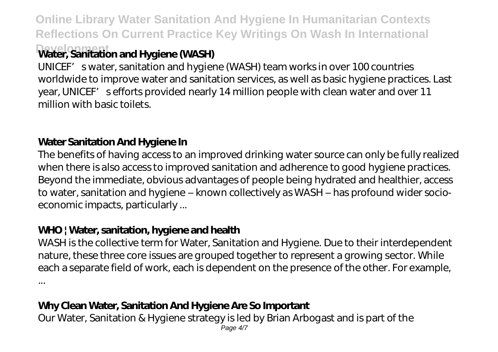**Online Library Water Sanitation And Hygiene In Humanitarian Contexts Reflections On Current Practice Key Writings On Wash In International Development Water, Sanitation and Hygiene (WASH)**

UNICEF' swater, sanitation and hygiene (WASH) team works in over 100 countries worldwide to improve water and sanitation services, as well as basic hygiene practices. Last year, UNICEF's efforts provided nearly 14 million people with clean water and over 11 million with basic toilets.

# **Water Sanitation And Hygiene In**

The benefits of having access to an improved drinking water source can only be fully realized when there is also access to improved sanitation and adherence to good hygiene practices. Beyond the immediate, obvious advantages of people being hydrated and healthier, access to water, sanitation and hygiene – known collectively as WASH – has profound wider socioeconomic impacts, particularly ...

## **WHO | Water, sanitation, hygiene and health**

WASH is the collective term for Water, Sanitation and Hygiene. Due to their interdependent nature, these three core issues are grouped together to represent a growing sector. While each a separate field of work, each is dependent on the presence of the other. For example, ...

## **Why Clean Water, Sanitation And Hygiene Are So Important**

Our Water, Sanitation & Hygiene strategy is led by Brian Arbogast and is part of the Page  $4/7$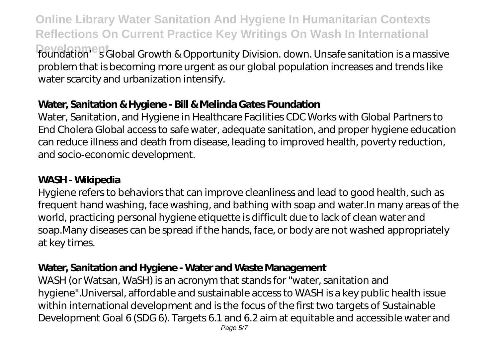**Online Library Water Sanitation And Hygiene In Humanitarian Contexts Reflections On Current Practice Key Writings On Wash In International Development** foundation's Global Growth & Opportunity Division. down. Unsafe sanitation is a massive problem that is becoming more urgent as our global population increases and trends like water scarcity and urbanization intensify.

#### **Water, Sanitation & Hygiene - Bill & Melinda Gates Foundation**

Water, Sanitation, and Hygiene in Healthcare Facilities CDC Works with Global Partners to End Cholera Global access to safe water, adequate sanitation, and proper hygiene education can reduce illness and death from disease, leading to improved health, poverty reduction, and socio-economic development.

#### **WASH - Wikipedia**

Hygiene refers to behaviors that can improve cleanliness and lead to good health, such as frequent hand washing, face washing, and bathing with soap and water.In many areas of the world, practicing personal hygiene etiquette is difficult due to lack of clean water and soap.Many diseases can be spread if the hands, face, or body are not washed appropriately at key times.

#### **Water, Sanitation and Hygiene - Water and Waste Management**

WASH (or Watsan, WaSH) is an acronym that stands for "water, sanitation and hygiene".Universal, affordable and sustainable access to WASH is a key public health issue within international development and is the focus of the first two targets of Sustainable Development Goal 6 (SDG 6). Targets 6.1 and 6.2 aim at equitable and accessible water and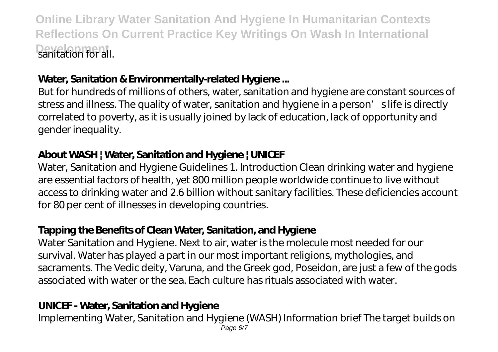**Online Library Water Sanitation And Hygiene In Humanitarian Contexts Reflections On Current Practice Key Writings On Wash In International Development** sanitation for all.

#### **Water, Sanitation & Environmentally-related Hygiene ...**

But for hundreds of millions of others, water, sanitation and hygiene are constant sources of stress and illness. The quality of water, sanitation and hygiene in a person' slife is directly correlated to poverty, as it is usually joined by lack of education, lack of opportunity and gender inequality.

#### **About WASH | Water, Sanitation and Hygiene | UNICEF**

Water, Sanitation and Hygiene Guidelines 1. Introduction Clean drinking water and hygiene are essential factors of health, yet 800 million people worldwide continue to live without access to drinking water and 2.6 billion without sanitary facilities. These deficiencies account for 80 per cent of illnesses in developing countries.

# **Tapping the Benefits of Clean Water, Sanitation, and Hygiene**

Water Sanitation and Hygiene. Next to air, water is the molecule most needed for our survival. Water has played a part in our most important religions, mythologies, and sacraments. The Vedic deity, Varuna, and the Greek god, Poseidon, are just a few of the gods associated with water or the sea. Each culture has rituals associated with water.

# **UNICEF - Water, Sanitation and Hygiene**

Implementing Water, Sanitation and Hygiene (WASH) Information brief The target builds on Page 6/7